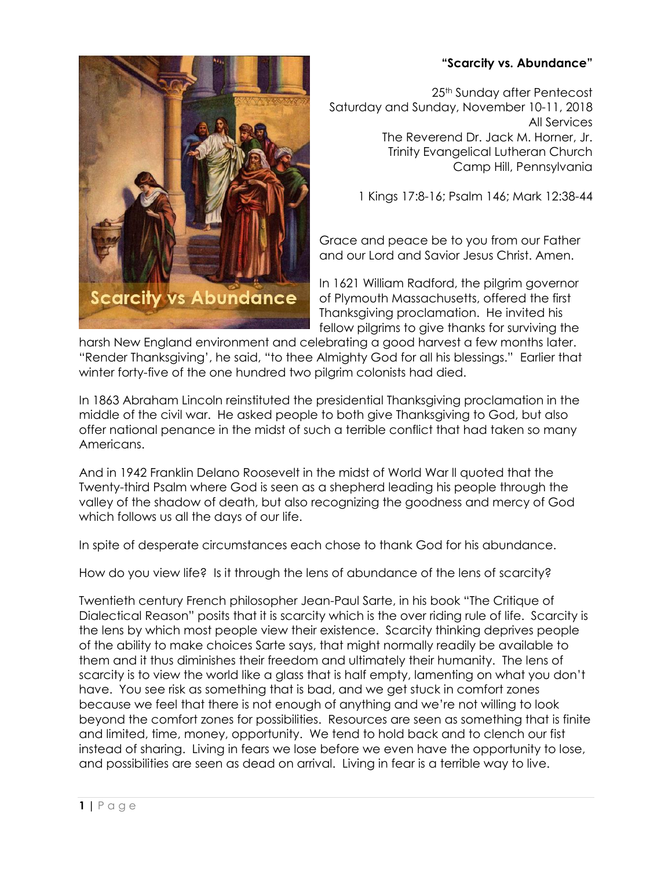## **"Scarcity vs. Abundance"**



25<sup>th</sup> Sunday after Pentecost Saturday and Sunday, November 10-11, 2018 All Services The Reverend Dr. Jack M. Horner, Jr. Trinity Evangelical Lutheran Church Camp Hill, Pennsylvania

1 Kings 17:8-16; Psalm 146; Mark 12:38-44

Grace and peace be to you from our Father and our Lord and Savior Jesus Christ. Amen.

In 1621 William Radford, the pilgrim governor of Plymouth Massachusetts, offered the first Thanksgiving proclamation. He invited his fellow pilgrims to give thanks for surviving the

harsh New England environment and celebrating a good harvest a few months later. "Render Thanksgiving', he said, "to thee Almighty God for all his blessings." Earlier that winter forty-five of the one hundred two pilgrim colonists had died.

In 1863 Abraham Lincoln reinstituted the presidential Thanksgiving proclamation in the middle of the civil war. He asked people to both give Thanksgiving to God, but also offer national penance in the midst of such a terrible conflict that had taken so many Americans.

And in 1942 Franklin Delano Roosevelt in the midst of World War ll quoted that the Twenty-third Psalm where God is seen as a shepherd leading his people through the valley of the shadow of death, but also recognizing the goodness and mercy of God which follows us all the days of our life.

In spite of desperate circumstances each chose to thank God for his abundance.

How do you view life? Is it through the lens of abundance of the lens of scarcity?

Twentieth century French philosopher Jean-Paul Sarte, in his book "The Critique of Dialectical Reason" posits that it is scarcity which is the over riding rule of life. Scarcity is the lens by which most people view their existence. Scarcity thinking deprives people of the ability to make choices Sarte says, that might normally readily be available to them and it thus diminishes their freedom and ultimately their humanity. The lens of scarcity is to view the world like a glass that is half empty, lamenting on what you don't have. You see risk as something that is bad, and we get stuck in comfort zones because we feel that there is not enough of anything and we're not willing to look beyond the comfort zones for possibilities. Resources are seen as something that is finite and limited, time, money, opportunity. We tend to hold back and to clench our fist instead of sharing. Living in fears we lose before we even have the opportunity to lose, and possibilities are seen as dead on arrival. Living in fear is a terrible way to live.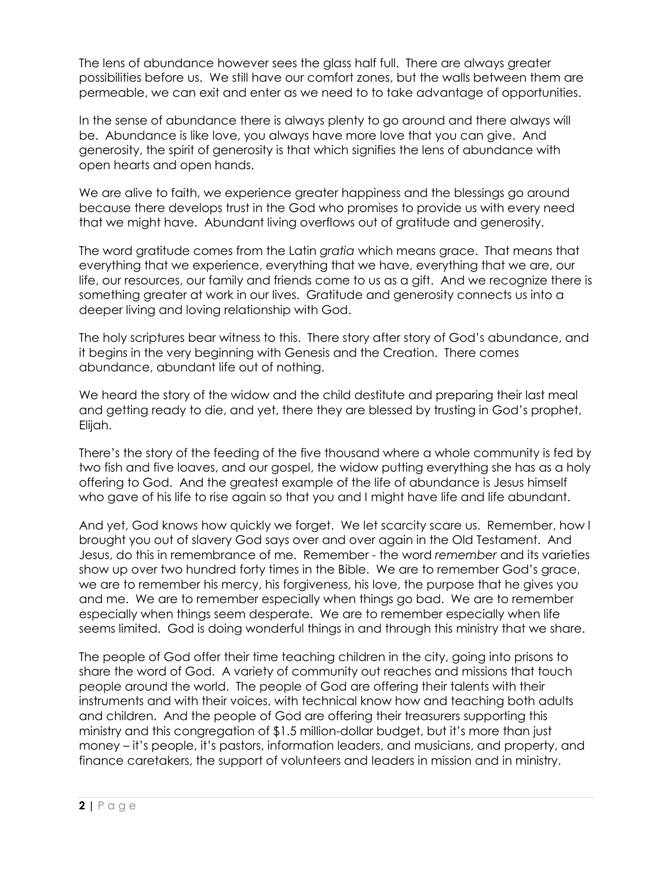The lens of abundance however sees the glass half full. There are always greater possibilities before us. We still have our comfort zones, but the walls between them are permeable, we can exit and enter as we need to to take advantage of opportunities.

In the sense of abundance there is always plenty to go around and there always will be. Abundance is like love, you always have more love that you can give. And generosity, the spirit of generosity is that which signifies the lens of abundance with open hearts and open hands.

We are alive to faith, we experience greater happiness and the blessings go around because there develops trust in the God who promises to provide us with every need that we might have. Abundant living overflows out of gratitude and generosity.

The word gratitude comes from the Latin *gratia* which means grace. That means that everything that we experience, everything that we have, everything that we are, our life, our resources, our family and friends come to us as a gift. And we recognize there is something greater at work in our lives. Gratitude and generosity connects us into a deeper living and loving relationship with God.

The holy scriptures bear witness to this. There story after story of God's abundance, and it begins in the very beginning with Genesis and the Creation. There comes abundance, abundant life out of nothing.

We heard the story of the widow and the child destitute and preparing their last meal and getting ready to die, and yet, there they are blessed by trusting in God's prophet, Elijah.

There's the story of the feeding of the five thousand where a whole community is fed by two fish and five loaves, and our gospel, the widow putting everything she has as a holy offering to God. And the greatest example of the life of abundance is Jesus himself who gave of his life to rise again so that you and I might have life and life abundant.

And yet, God knows how quickly we forget. We let scarcity scare us. Remember, how I brought you out of slavery God says over and over again in the Old Testament. And Jesus, do this in remembrance of me. Remember - the word *remember* and its varieties show up over two hundred forty times in the Bible. We are to remember God's grace, we are to remember his mercy, his forgiveness, his love, the purpose that he gives you and me. We are to remember especially when things go bad. We are to remember especially when things seem desperate. We are to remember especially when life seems limited. God is doing wonderful things in and through this ministry that we share.

The people of God offer their time teaching children in the city, going into prisons to share the word of God. A variety of community out reaches and missions that touch people around the world. The people of God are offering their talents with their instruments and with their voices, with technical know how and teaching both adults and children. And the people of God are offering their treasurers supporting this ministry and this congregation of \$1.5 million-dollar budget, but it's more than just money – it's people, it's pastors, information leaders, and musicians, and property, and finance caretakers, the support of volunteers and leaders in mission and in ministry.